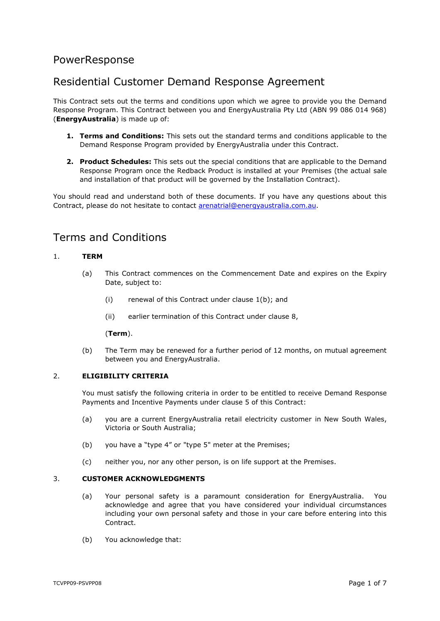# PowerResponse

# Residential Customer Demand Response Agreement

This Contract sets out the terms and conditions upon which we agree to provide you the Demand Response Program. This Contract between you and EnergyAustralia Pty Ltd (ABN 99 086 014 968) (**EnergyAustralia**) is made up of:

- **1. Terms and Conditions:** This sets out the standard terms and conditions applicable to the Demand Response Program provided by EnergyAustralia under this Contract.
- **2. Product Schedules:** This sets out the special conditions that are applicable to the Demand Response Program once the Redback Product is installed at your Premises (the actual sale and installation of that product will be governed by the Installation Contract).

You should read and understand both of these documents. If you have any questions about this Contract, please do not hesitate to contact [arenatrial@energyaustralia.com.au.](mailto:arenatrial@energyaustralia.com.au)

# Terms and Conditions

## <span id="page-0-2"></span>1. **TERM**

- (a) This Contract commences on the Commencement Date and expires on the Expiry Date, subject to:
	- (i) renewal of this Contract under clause [1\(b\);](#page-0-0) and
	- (ii) earlier termination of this Contract under clause [8,](#page-3-0)

#### (**Term**).

(b) The Term may be renewed for a further period of 12 months, on mutual agreement between you and EnergyAustralia.

## <span id="page-0-1"></span><span id="page-0-0"></span>2. **ELIGIBILITY CRITERIA**

You must satisfy the following criteria in order to be entitled to receive Demand Response Payments and Incentive Payments under clause [5](#page-1-0) of this Contract:

- (a) you are a current EnergyAustralia retail electricity customer in New South Wales, Victoria or South Australia;
- (b) you have a "type 4" or "type 5" meter at the Premises;
- (c) neither you, nor any other person, is on life support at the Premises.

#### 3. **CUSTOMER ACKNOWLEDGMENTS**

- (a) Your personal safety is a paramount consideration for EnergyAustralia. You acknowledge and agree that you have considered your individual circumstances including your own personal safety and those in your care before entering into this **Contract**
- (b) You acknowledge that: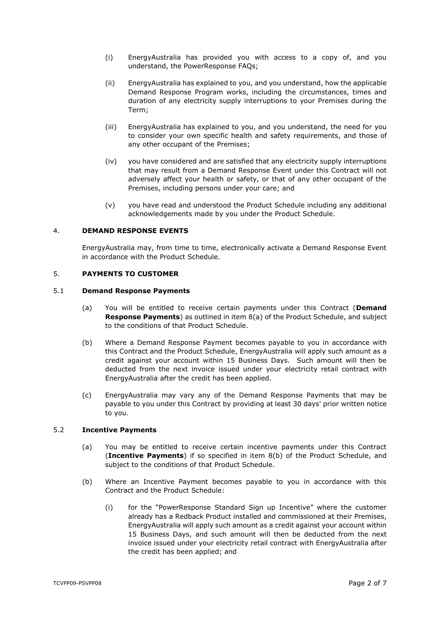- (i) EnergyAustralia has provided you with access to a copy of, and you understand, the PowerResponse FAQs;
- (ii) EnergyAustralia has explained to you, and you understand, how the applicable Demand Response Program works, including the circumstances, times and duration of any electricity supply interruptions to your Premises during the Term;
- (iii) EnergyAustralia has explained to you, and you understand, the need for you to consider your own specific health and safety requirements, and those of any other occupant of the Premises;
- (iv) you have considered and are satisfied that any electricity supply interruptions that may result from a Demand Response Event under this Contract will not adversely affect your health or safety, or that of any other occupant of the Premises, including persons under your care; and
- (v) you have read and understood the Product Schedule including any additional acknowledgements made by you under the Product Schedule.

## 4. **DEMAND RESPONSE EVENTS**

EnergyAustralia may, from time to time, electronically activate a Demand Response Event in accordance with the Product Schedule.

## <span id="page-1-0"></span>5. **PAYMENTS TO CUSTOMER**

#### <span id="page-1-3"></span><span id="page-1-2"></span>5.1 **Demand Response Payments**

- (a) You will be entitled to receive certain payments under this Contract (**Demand Response Payments**) as outlined in item [8\(a\)](#page-9-0) of the Product Schedule, and subject to the conditions of that Product Schedule.
- (b) Where a Demand Response Payment becomes payable to you in accordance with this Contract and the Product Schedule, EnergyAustralia will apply such amount as a credit against your account within 15 Business Days. Such amount will then be deducted from the next invoice issued under your electricity retail contract with EnergyAustralia after the credit has been applied.
- <span id="page-1-5"></span>(c) EnergyAustralia may vary any of the Demand Response Payments that may be payable to you under this Contract by providing at least 30 days' prior written notice to you.

### <span id="page-1-4"></span>5.2 **Incentive Payments**

- (a) You may be entitled to receive certain incentive payments under this Contract (**Incentive Payments**) if so specified in item [8\(b\)](#page-9-1) of the Product Schedule, and subject to the conditions of that Product Schedule.
- <span id="page-1-1"></span>(b) Where an Incentive Payment becomes payable to you in accordance with this Contract and the Product Schedule:
	- (i) for the "PowerResponse Standard Sign up Incentive" where the customer already has a Redback Product installed and commissioned at their Premises, EnergyAustralia will apply such amount as a credit against your account within 15 Business Days, and such amount will then be deducted from the next invoice issued under your electricity retail contract with EnergyAustralia after the credit has been applied; and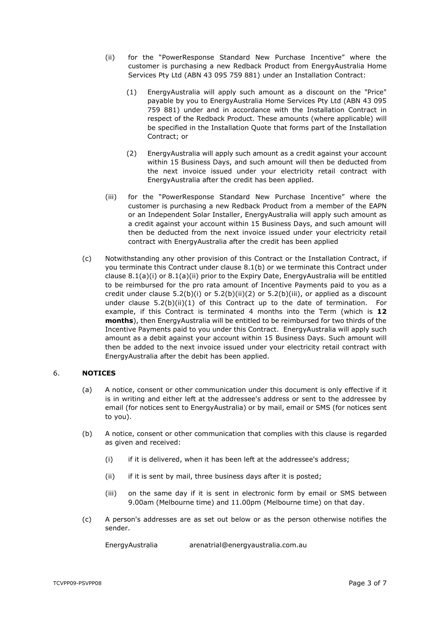- <span id="page-2-3"></span><span id="page-2-2"></span>(ii) for the "PowerResponse Standard New Purchase Incentive" where the customer is purchasing a new Redback Product from EnergyAustralia Home Services Pty Ltd (ABN 43 095 759 881) under an Installation Contract:
	- (1) EnergyAustralia will apply such amount as a discount on the "Price" payable by you to EnergyAustralia Home Services Pty Ltd (ABN 43 095 759 881) under and in accordance with the Installation Contract in respect of the Redback Product. These amounts (where applicable) will be specified in the Installation Quote that forms part of the Installation Contract; or
	- (2) EnergyAustralia will apply such amount as a credit against your account within 15 Business Days, and such amount will then be deducted from the next invoice issued under your electricity retail contract with EnergyAustralia after the credit has been applied.
- <span id="page-2-1"></span><span id="page-2-0"></span>(iii) for the "PowerResponse Standard New Purchase Incentive" where the customer is purchasing a new Redback Product from a member of the EAPN or an Independent Solar Installer, EnergyAustralia will apply such amount as a credit against your account within 15 Business Days, and such amount will then be deducted from the next invoice issued under your electricity retail contract with EnergyAustralia after the credit has been applied
- <span id="page-2-4"></span>(c) Notwithstanding any other provision of this Contract or the Installation Contract, if you terminate this Contract under clause [8.1\(b\)](#page-3-1) or we terminate this Contract under clause [8.1\(a\)\(i\)](#page-3-2) or [8.1\(a\)\(ii\)](#page-3-3) prior to the Expiry Date, EnergyAustralia will be entitled to be reimbursed for the pro rata amount of Incentive Payments paid to you as a credit under clause  $5.2(b)(i)$  or  $5.2(b)(ii)(2)$  $5.2(b)(ii)(2)$  or  $5.2(b)(iii)$ , or applied as a discount under clause  $5.2(b)(ii)(1)$  $5.2(b)(ii)(1)$  of this Contract up to the date of termination. For example, if this Contract is terminated 4 months into the Term (which is **12 months**), then EnergyAustralia will be entitled to be reimbursed for two thirds of the Incentive Payments paid to you under this Contract. EnergyAustralia will apply such amount as a debit against your account within 15 Business Days. Such amount will then be added to the next invoice issued under your electricity retail contract with EnergyAustralia after the debit has been applied.

## 6. **NOTICES**

- (a) A notice, consent or other communication under this document is only effective if it is in writing and either left at the addressee's address or sent to the addressee by email (for notices sent to EnergyAustralia) or by mail, email or SMS (for notices sent to you).
- (b) A notice, consent or other communication that complies with this clause is regarded as given and received:
	- (i) if it is delivered, when it has been left at the addressee's address;
	- (ii) if it is sent by mail, three business days after it is posted;
	- (iii) on the same day if it is sent in electronic form by email or SMS between 9.00am (Melbourne time) and 11.00pm (Melbourne time) on that day.
- (c) A person's addresses are as set out below or as the person otherwise notifies the sender.

EnergyAustralia arenatrial@energyaustralia.com.au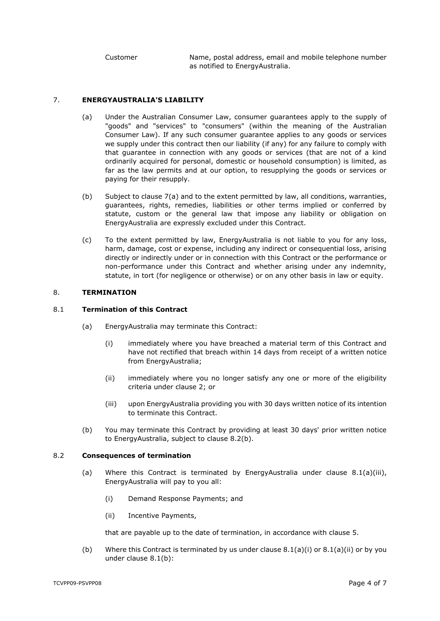Customer Name, postal address, email and mobile telephone number as notified to EnergyAustralia.

### <span id="page-3-4"></span>7. **ENERGYAUSTRALIA'S LIABILITY**

- (a) Under the Australian Consumer Law, consumer guarantees apply to the supply of "goods" and "services" to "consumers" (within the meaning of the Australian Consumer Law). If any such consumer guarantee applies to any goods or services we supply under this contract then our liability (if any) for any failure to comply with that guarantee in connection with any goods or services (that are not of a kind ordinarily acquired for personal, domestic or household consumption) is limited, as far as the law permits and at our option, to resupplying the goods or services or paying for their resupply.
- (b) Subject to clause [7\(a\)](#page-3-4) and to the extent permitted by law, all conditions, warranties, guarantees, rights, remedies, liabilities or other terms implied or conferred by statute, custom or the general law that impose any liability or obligation on EnergyAustralia are expressly excluded under this Contract.
- (c) To the extent permitted by law, EnergyAustralia is not liable to you for any loss, harm, damage, cost or expense, including any indirect or consequential loss, arising directly or indirectly under or in connection with this Contract or the performance or non-performance under this Contract and whether arising under any indemnity, statute, in tort (for negligence or otherwise) or on any other basis in law or equity.

#### <span id="page-3-0"></span>8. **TERMINATION**

#### <span id="page-3-2"></span>8.1 **Termination of this Contract**

- <span id="page-3-3"></span>(a) EnergyAustralia may terminate this Contract:
	- (i) immediately where you have breached a material term of this Contract and have not rectified that breach within 14 days from receipt of a written notice from EnergyAustralia;
	- (ii) immediately where you no longer satisfy any one or more of the eligibility criteria under clause [2;](#page-0-1) or
	- (iii) upon EnergyAustralia providing you with 30 days written notice of its intention to terminate this Contract.
- <span id="page-3-6"></span>(b) You may terminate this Contract by providing at least 30 days' prior written notice to EnergyAustralia, subject to clause [8.2\(b\).](#page-3-5)

#### <span id="page-3-1"></span>8.2 **Consequences of termination**

- (a) Where this Contract is terminated by EnergyAustralia under clause  $8.1(a)(iii)$ , EnergyAustralia will pay to you all:
	- (i) Demand Response Payments; and
	- (ii) Incentive Payments,

that are payable up to the date of termination, in accordance with clause [5.](#page-1-0)

<span id="page-3-5"></span>(b) Where this Contract is terminated by us under clause  $8.1(a)(i)$  or  $8.1(a)(ii)$  or by you under clause [8.1\(b\):](#page-3-1)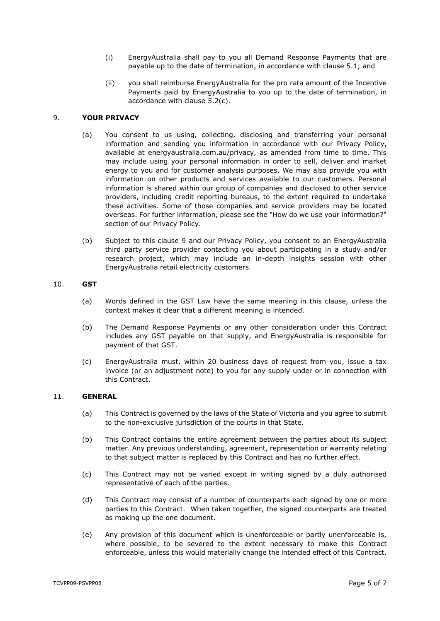- (i) EnergyAustralia shall pay to you all Demand Response Payments that are payable up to the date of termination, in accordance with clause [5.1;](#page-1-2) and
- (ii) you shall reimburse EnergyAustralia for the pro rata amount of the Incentive Payments paid by EnergyAustralia to you up to the date of termination, in accordance with clause [5.2\(c\).](#page-2-4)

### <span id="page-4-0"></span>9. **YOUR PRIVACY**

- (a) You consent to us using, collecting, disclosing and transferring your personal information and sending you information in accordance with our Privacy Policy, available at energyaustralia.com.au/privacy, as amended from time to time. This may include using your personal information in order to sell, deliver and market energy to you and for customer analysis purposes. We may also provide you with information on other products and services available to our customers. Personal information is shared within our group of companies and disclosed to other service providers, including credit reporting bureaus, to the extent required to undertake these activities. Some of those companies and service providers may be located overseas. For further information, please see the "How do we use your information?" section of our Privacy Policy.
- (b) Subject to this clause [9](#page-4-0) and our Privacy Policy, you consent to an EnergyAustralia third party service provider contacting you about participating in a study and/or research project, which may include an in-depth insights session with other EnergyAustralia retail electricity customers.

#### 10. **GST**

- (a) Words defined in the GST Law have the same meaning in this clause, unless the context makes it clear that a different meaning is intended.
- (b) The Demand Response Payments or any other consideration under this Contract includes any GST payable on that supply, and EnergyAustralia is responsible for payment of that GST.
- (c) EnergyAustralia must, within 20 business days of request from you, issue a tax invoice (or an adjustment note) to you for any supply under or in connection with this Contract.

#### 11. **GENERAL**

- (a) This Contract is governed by the laws of the State of Victoria and you agree to submit to the non-exclusive jurisdiction of the courts in that State.
- (b) This Contract contains the entire agreement between the parties about its subject matter. Any previous understanding, agreement, representation or warranty relating to that subject matter is replaced by this Contract and has no further effect.
- (c) This Contract may not be varied except in writing signed by a duly authorised representative of each of the parties.
- (d) This Contract may consist of a number of counterparts each signed by one or more parties to this Contract. When taken together, the signed counterparts are treated as making up the one document.
- (e) Any provision of this document which is unenforceable or partly unenforceable is, where possible, to be severed to the extent necessary to make this Contract enforceable, unless this would materially change the intended effect of this Contract.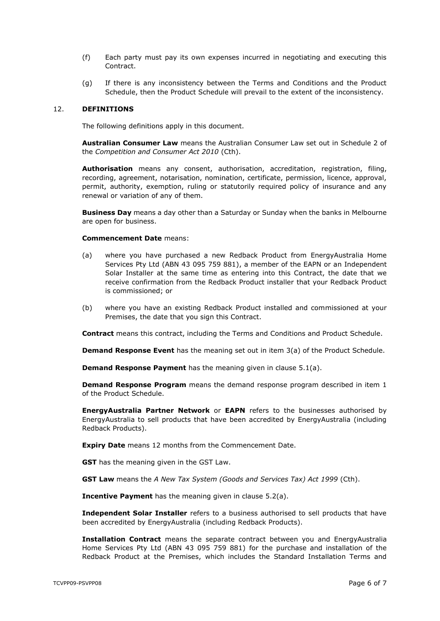- (f) Each party must pay its own expenses incurred in negotiating and executing this Contract.
- (g) If there is any inconsistency between the Terms and Conditions and the Product Schedule, then the Product Schedule will prevail to the extent of the inconsistency.

#### 12. **DEFINITIONS**

The following definitions apply in this document.

**Australian Consumer Law** means the Australian Consumer Law set out in Schedule 2 of the *Competition and Consumer Act 2010* (Cth).

**Authorisation** means any consent, authorisation, accreditation, registration, filing, recording, agreement, notarisation, nomination, certificate, permission, licence, approval, permit, authority, exemption, ruling or statutorily required policy of insurance and any renewal or variation of any of them.

**Business Day** means a day other than a Saturday or Sunday when the banks in Melbourne are open for business.

#### **Commencement Date** means:

- (a) where you have purchased a new Redback Product from EnergyAustralia Home Services Pty Ltd (ABN 43 095 759 881), a member of the EAPN or an Independent Solar Installer at the same time as entering into this Contract, the date that we receive confirmation from the Redback Product installer that your Redback Product is commissioned; or
- (b) where you have an existing Redback Product installed and commissioned at your Premises, the date that you sign this Contract.

**Contract** means this contract, including the Terms and Conditions and Product Schedule.

**Demand Response Event** has the meaning set out in item [3\(a\)](#page-7-0) of the Product Schedule.

**Demand Response Payment** has the meaning given in clause [5.1\(a\).](#page-1-3)

**Demand Response Program** means the demand response program described in item [1](#page-7-1) of the Product Schedule.

**EnergyAustralia Partner Network** or **EAPN** refers to the businesses authorised by EnergyAustralia to sell products that have been accredited by EnergyAustralia (including Redback Products).

**Expiry Date** means 12 months from the Commencement Date.

**GST** has the meaning given in the GST Law.

**GST Law** means the *A New Tax System (Goods and Services Tax) Act 1999* (Cth).

**Incentive Payment** has the meaning given in clause [5.2\(a\).](#page-1-4)

**Independent Solar Installer** refers to a business authorised to sell products that have been accredited by EnergyAustralia (including Redback Products).

**Installation Contract** means the separate contract between you and EnergyAustralia Home Services Pty Ltd (ABN 43 095 759 881) for the purchase and installation of the Redback Product at the Premises, which includes the Standard Installation Terms and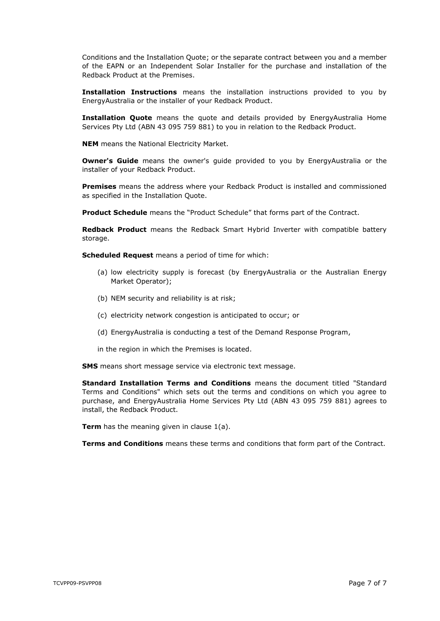Conditions and the Installation Quote; or the separate contract between you and a member of the EAPN or an Independent Solar Installer for the purchase and installation of the Redback Product at the Premises.

**Installation Instructions** means the installation instructions provided to you by EnergyAustralia or the installer of your Redback Product.

**Installation Quote** means the quote and details provided by EnergyAustralia Home Services Pty Ltd (ABN 43 095 759 881) to you in relation to the Redback Product.

**NEM** means the National Electricity Market.

**Owner's Guide** means the owner's guide provided to you by EnergyAustralia or the installer of your Redback Product.

**Premises** means the address where your Redback Product is installed and commissioned as specified in the Installation Quote.

**Product Schedule** means the "Product Schedule" that forms part of the Contract.

**Redback Product** means the Redback Smart Hybrid Inverter with compatible battery storage.

**Scheduled Request** means a period of time for which:

- (a) low electricity supply is forecast (by EnergyAustralia or the Australian Energy Market Operator);
- (b) NEM security and reliability is at risk;
- (c) electricity network congestion is anticipated to occur; or
- (d) EnergyAustralia is conducting a test of the Demand Response Program,

in the region in which the Premises is located.

**SMS** means short message service via electronic text message.

**Standard Installation Terms and Conditions** means the document titled "Standard Terms and Conditions" which sets out the terms and conditions on which you agree to purchase, and EnergyAustralia Home Services Pty Ltd (ABN 43 095 759 881) agrees to install, the Redback Product.

**Term** has the meaning given in clause [1\(a\).](#page-0-2)

**Terms and Conditions** means these terms and conditions that form part of the Contract.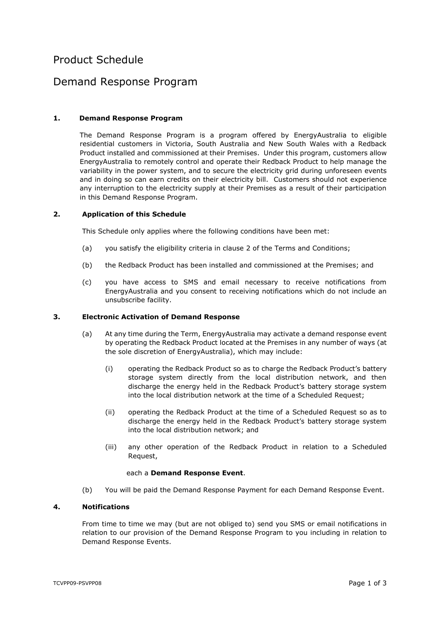# Product Schedule

# Demand Response Program

## <span id="page-7-1"></span>**1. Demand Response Program**

The Demand Response Program is a program offered by EnergyAustralia to eligible residential customers in Victoria, South Australia and New South Wales with a Redback Product installed and commissioned at their Premises. Under this program, customers allow EnergyAustralia to remotely control and operate their Redback Product to help manage the variability in the power system, and to secure the electricity grid during unforeseen events and in doing so can earn credits on their electricity bill. Customers should not experience any interruption to the electricity supply at their Premises as a result of their participation in this Demand Response Program.

#### **2. Application of this Schedule**

This Schedule only applies where the following conditions have been met:

- (a) you satisfy the eligibility criteria in clause [2](#page-0-1) of the Terms and Conditions;
- (b) the Redback Product has been installed and commissioned at the Premises; and
- (c) you have access to SMS and email necessary to receive notifications from EnergyAustralia and you consent to receiving notifications which do not include an unsubscribe facility.

#### <span id="page-7-0"></span>**3. Electronic Activation of Demand Response**

- (a) At any time during the Term, EnergyAustralia may activate a demand response event by operating the Redback Product located at the Premises in any number of ways (at the sole discretion of EnergyAustralia), which may include:
	- (i) operating the Redback Product so as to charge the Redback Product's battery storage system directly from the local distribution network, and then discharge the energy held in the Redback Product's battery storage system into the local distribution network at the time of a Scheduled Request;
	- (ii) operating the Redback Product at the time of a Scheduled Request so as to discharge the energy held in the Redback Product's battery storage system into the local distribution network; and
	- (iii) any other operation of the Redback Product in relation to a Scheduled Request,

#### each a **Demand Response Event**.

(b) You will be paid the Demand Response Payment for each Demand Response Event.

## **4. Notifications**

From time to time we may (but are not obliged to) send you SMS or email notifications in relation to our provision of the Demand Response Program to you including in relation to Demand Response Events.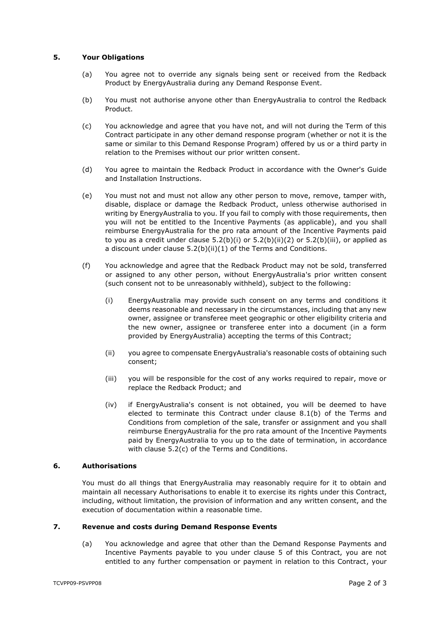## **5. Your Obligations**

- (a) You agree not to override any signals being sent or received from the Redback Product by EnergyAustralia during any Demand Response Event.
- (b) You must not authorise anyone other than EnergyAustralia to control the Redback Product.
- (c) You acknowledge and agree that you have not, and will not during the Term of this Contract participate in any other demand response program (whether or not it is the same or similar to this Demand Response Program) offered by us or a third party in relation to the Premises without our prior written consent.
- (d) You agree to maintain the Redback Product in accordance with the Owner's Guide and Installation Instructions.
- (e) You must not and must not allow any other person to move, remove, tamper with, disable, displace or damage the Redback Product, unless otherwise authorised in writing by EnergyAustralia to you. If you fail to comply with those requirements, then you will not be entitled to the Incentive Payments (as applicable), and you shall reimburse EnergyAustralia for the pro rata amount of the Incentive Payments paid to you as a credit under clause  $5.2(b)(i)$  or  $5.2(b)(ii)(2)$  $5.2(b)(ii)(2)$  or  $5.2(b)(iii)$ , or applied as a discount under clause [5.2\(b\)\(ii\)](#page-2-2)[\(1\)](#page-2-3) of the Terms and Conditions.
- (f) You acknowledge and agree that the Redback Product may not be sold, transferred or assigned to any other person, without EnergyAustralia's prior written consent (such consent not to be unreasonably withheld), subject to the following:
	- (i) EnergyAustralia may provide such consent on any terms and conditions it deems reasonable and necessary in the circumstances, including that any new owner, assignee or transferee meet geographic or other eligibility criteria and the new owner, assignee or transferee enter into a document (in a form provided by EnergyAustralia) accepting the terms of this Contract;
	- (ii) you agree to compensate EnergyAustralia's reasonable costs of obtaining such consent;
	- (iii) you will be responsible for the cost of any works required to repair, move or replace the Redback Product; and
	- (iv) if EnergyAustralia's consent is not obtained, you will be deemed to have elected to terminate this Contract under clause [8.1\(b\)](#page-3-1) of the Terms and Conditions from completion of the sale, transfer or assignment and you shall reimburse EnergyAustralia for the pro rata amount of the Incentive Payments paid by EnergyAustralia to you up to the date of termination, in accordance with clause [5.2\(c\)](#page-2-4) of the Terms and Conditions.

#### **6. Authorisations**

You must do all things that EnergyAustralia may reasonably require for it to obtain and maintain all necessary Authorisations to enable it to exercise its rights under this Contract, including, without limitation, the provision of information and any written consent, and the execution of documentation within a reasonable time.

### **7. Revenue and costs during Demand Response Events**

(a) You acknowledge and agree that other than the Demand Response Payments and Incentive Payments payable to you under clause [5](#page-1-0) of this Contract, you are not entitled to any further compensation or payment in relation to this Contract, your